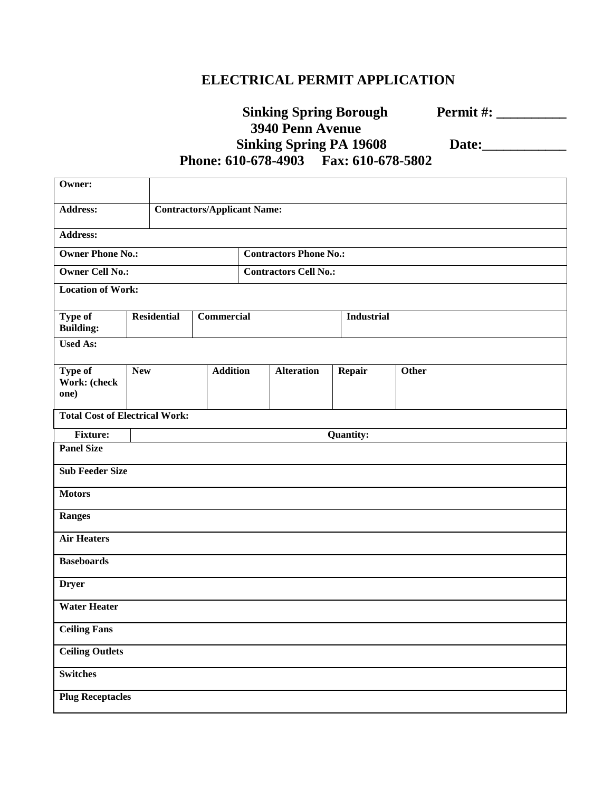## **ELECTRICAL PERMIT APPLICATION**

|                                          | <b>Sinking Spring Borough</b> |
|------------------------------------------|-------------------------------|
| <b>3940 Penn Avenue</b>                  |                               |
| <b>Sinking Spring PA 19608</b>           |                               |
| Phone: 610-678-4903    Fax: 610-678-5802 |                               |

**Sinking Spring Borough Permit #: \_\_\_\_\_\_\_\_\_\_**

 **Sinking Spring PA 19608 Date:\_\_\_\_\_\_\_\_\_\_\_\_**

| Owner:                                |            |                                    |                 |                              |                   |        |                   |  |  |
|---------------------------------------|------------|------------------------------------|-----------------|------------------------------|-------------------|--------|-------------------|--|--|
| <b>Address:</b>                       |            | <b>Contractors/Applicant Name:</b> |                 |                              |                   |        |                   |  |  |
| <b>Address:</b>                       |            |                                    |                 |                              |                   |        |                   |  |  |
| <b>Owner Phone No.:</b>               |            | <b>Contractors Phone No.:</b>      |                 |                              |                   |        |                   |  |  |
| <b>Owner Cell No.:</b>                |            |                                    |                 | <b>Contractors Cell No.:</b> |                   |        |                   |  |  |
| <b>Location of Work:</b>              |            |                                    |                 |                              |                   |        |                   |  |  |
| Type of<br><b>Building:</b>           |            | <b>Residential</b><br>Commercial   |                 |                              |                   |        | <b>Industrial</b> |  |  |
| <b>Used As:</b>                       |            |                                    |                 |                              |                   |        |                   |  |  |
| Type of                               | <b>New</b> |                                    | <b>Addition</b> |                              | <b>Alteration</b> | Repair | Other             |  |  |
| Work: (check<br>one)                  |            |                                    |                 |                              |                   |        |                   |  |  |
| <b>Total Cost of Electrical Work:</b> |            |                                    |                 |                              |                   |        |                   |  |  |
| Fixture:                              |            | <b>Quantity:</b>                   |                 |                              |                   |        |                   |  |  |
| <b>Panel Size</b>                     |            |                                    |                 |                              |                   |        |                   |  |  |
| <b>Sub Feeder Size</b>                |            |                                    |                 |                              |                   |        |                   |  |  |
| <b>Motors</b>                         |            |                                    |                 |                              |                   |        |                   |  |  |
| Ranges                                |            |                                    |                 |                              |                   |        |                   |  |  |
| <b>Air Heaters</b>                    |            |                                    |                 |                              |                   |        |                   |  |  |
| <b>Baseboards</b>                     |            |                                    |                 |                              |                   |        |                   |  |  |
| <b>Dryer</b>                          |            |                                    |                 |                              |                   |        |                   |  |  |
| <b>Water Heater</b>                   |            |                                    |                 |                              |                   |        |                   |  |  |
| <b>Ceiling Fans</b>                   |            |                                    |                 |                              |                   |        |                   |  |  |
| <b>Ceiling Outlets</b>                |            |                                    |                 |                              |                   |        |                   |  |  |
| <b>Switches</b>                       |            |                                    |                 |                              |                   |        |                   |  |  |
| <b>Plug Receptacles</b>               |            |                                    |                 |                              |                   |        |                   |  |  |